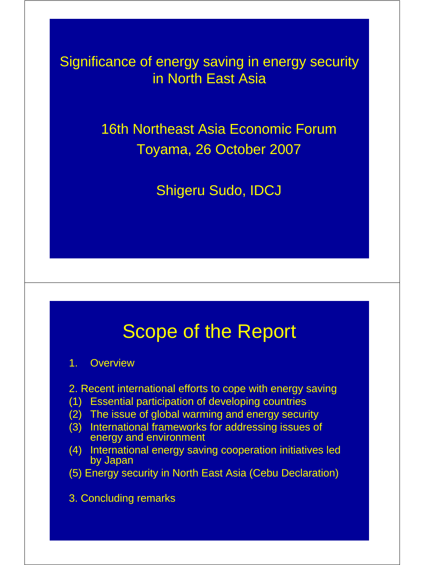Significance of energy saving in energy security in North East Asia

> 16th Northeast Asia Economic Forum Toyama, 26 October 2007

> > Shigeru Sudo, IDCJ

#### Scope of the Report

#### 1. Overview

- 2. Recent international efforts to cope with energy saving
- (1) Essential participation of developing countries
- (2) The issue of global warming and energy security
- (3) International frameworks for addressing issues of energy and environment
- (4) International energy saving cooperation initiatives led by Japan

(5) Energy security in North East Asia (Cebu Declaration)

3. Concluding remarks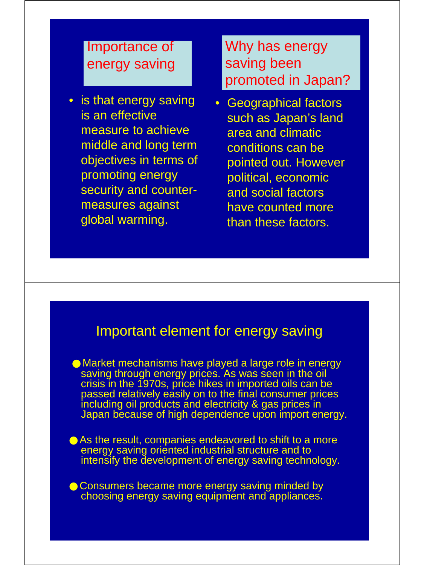#### Importance of energy saving

• is that energy saving is an effective measure to achieve middle and long term objectives in terms of promoting energy security and countermeasures against global warming.

Why has energy saving been promoted in Japan?

• Geographical factors such as Japan's land area and climatic conditions can be pointed out. However political, economic and social factors have counted more than these factors.

#### Important element for energy saving

Market mechanisms have played a large role in energy saving through energy prices. As was seen in the oil crisis in the 1970s, price hikes in imported oils can be passed relatively easily on to the final consumer prices including oil products and electricity & gas prices in Japan because of high dependence upon import energy.

As the result, companies endeavored to shift to a more energy saving oriented industrial structure and to intensify the development of energy saving technology.

Consumers became more energy saving minded by choosing energy saving equipment and appliances.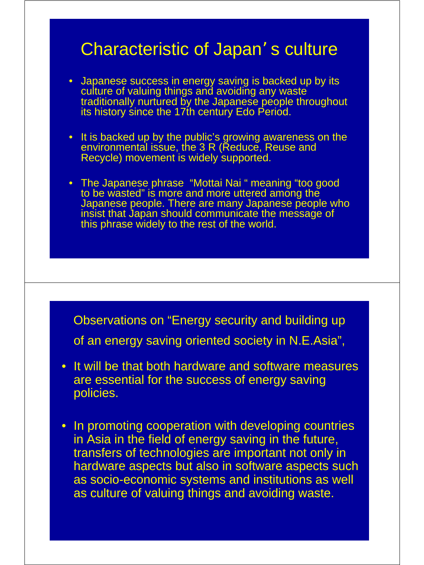#### Characteristic of Japan's culture

- Japanese success in energy saving is backed up by its culture of valuing things and avoiding any waste traditionally nurtured by the Japanese people throughout its history since the 17th century Edo Period.
- It is backed up by the public's growing awareness on the environmental issue, the 3 R (Reduce, Reuse and Recycle) movement is widely supported.
- The Japanese phrase "Mottai Nai " meaning "too good to be wasted" is more and more uttered among the Japanese people. There are many Japanese people who insist that Japan should communicate the message of this phrase widely to the rest of the world.

Observations on "Energy security and building up of an energy saving oriented society in N.E.Asia",

- It will be that both hardware and software measures are essential for the success of energy saving policies.
- In promoting cooperation with developing countries in Asia in the field of energy saving in the future, transfers of technologies are important not only in hardware aspects but also in software aspects such as socio-economic systems and institutions as well as culture of valuing things and avoiding waste.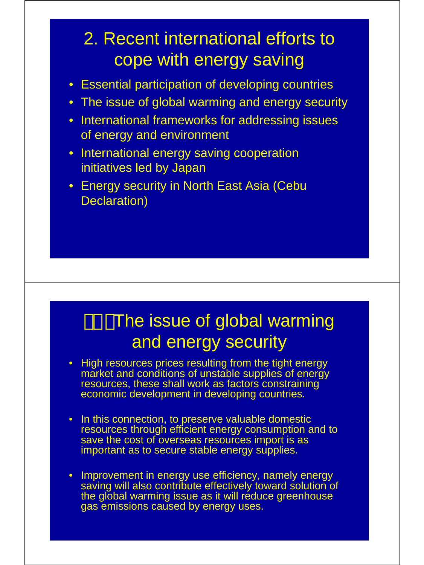# 2. Recent international efforts to cope with energy saving

- Essential participation of developing countries
- The issue of global warming and energy security
- International frameworks for addressing issues of energy and environment
- International energy saving cooperation initiatives led by Japan
- Energy security in North East Asia (Cebu Declaration)

# The issue of global warming and energy security

- High resources prices resulting from the tight energy market and conditions of unstable supplies of energy resources, these shall work as factors constraining economic development in developing countries.
- In this connection, to preserve valuable domestic resources through efficient energy consumption and to save the cost of overseas resources import is as important as to secure stable energy supplies.
- Improvement in energy use efficiency, namely energy saving will also contribute effectively toward solution of the global warming issue as it will reduce greenhouse gas emissions caused by energy uses.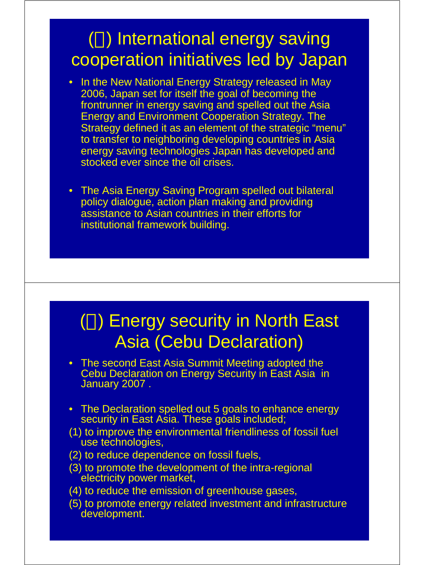# ( ) International energy saving cooperation initiatives led by Japan

- In the New National Energy Strategy released in May 2006, Japan set for itself the goal of becoming the frontrunner in energy saving and spelled out the Asia Energy and Environment Cooperation Strategy. The Strategy defined it as an element of the strategic "menu" to transfer to neighboring developing countries in Asia energy saving technologies Japan has developed and stocked ever since the oil crises.
- The Asia Energy Saving Program spelled out bilateral policy dialogue, action plan making and providing assistance to Asian countries in their efforts for institutional framework building.

#### ( ) Energy security in North East Asia (Cebu Declaration)

- The second East Asia Summit Meeting adopted the Cebu Declaration on Energy Security in East Asia in January 2007 .
- The Declaration spelled out 5 goals to enhance energy security in East Asia. These goals included;
- (1) to improve the environmental friendliness of fossil fuel use technologies,
- (2) to reduce dependence on fossil fuels,
- (3) to promote the development of the intra-regional electricity power market,
- (4) to reduce the emission of greenhouse gases,
- (5) to promote energy related investment and infrastructure development.